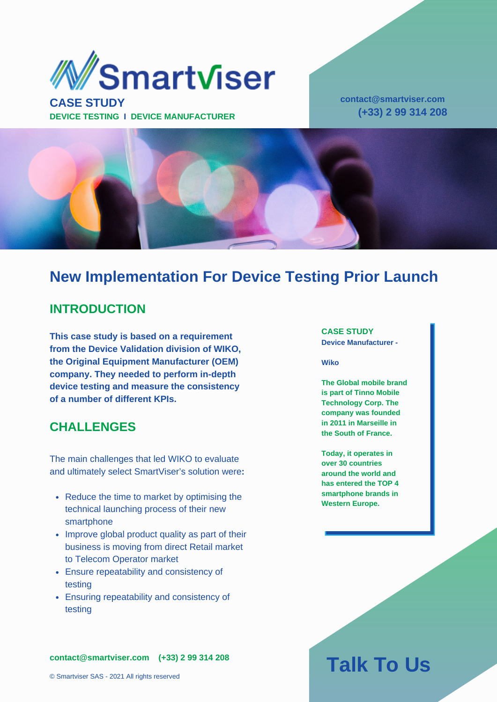

**CASE STUDY DEVICE TESTING I DEVICE MANUFACTURER** **contact@smartviser.com (+33) 2 99 314 208**



### **New Implementation For Device Testing Prior Launch**

### **INTRODUCTION**

**This case study is based on a requirement from the Device Validation division of WIKO, the Original Equipment Manufacturer (OEM) company. They needed to perform in-depth device testing and measure the consistency of a number of different KPIs.**

### **CHALLENGES**

The main challenges that led WIKO to evaluate and ultimately select SmartViser's solution were**:**

- Reduce the time to market by optimising the technical launching process of their new smartphone
- Improve global product quality as part of their business is moving from direct Retail market to Telecom Operator market
- Ensure repeatability and consistency of testing
- Ensuring repeatability and consistency of testing

**contact@smartviser.com (+33) 2 99 314 208**

### **CASE STUDY**

**Device Manufacturer -**

#### **Wiko**

**The Global mobile brand is part of Tinno Mobile Technology Corp. The company was founded in 2011 in Marseille in the South of France.**

**Today, it operates in over 30 countries around the world and has entered the TOP 4 smartphone brands in Western Europe.**

# **Talk To Us**